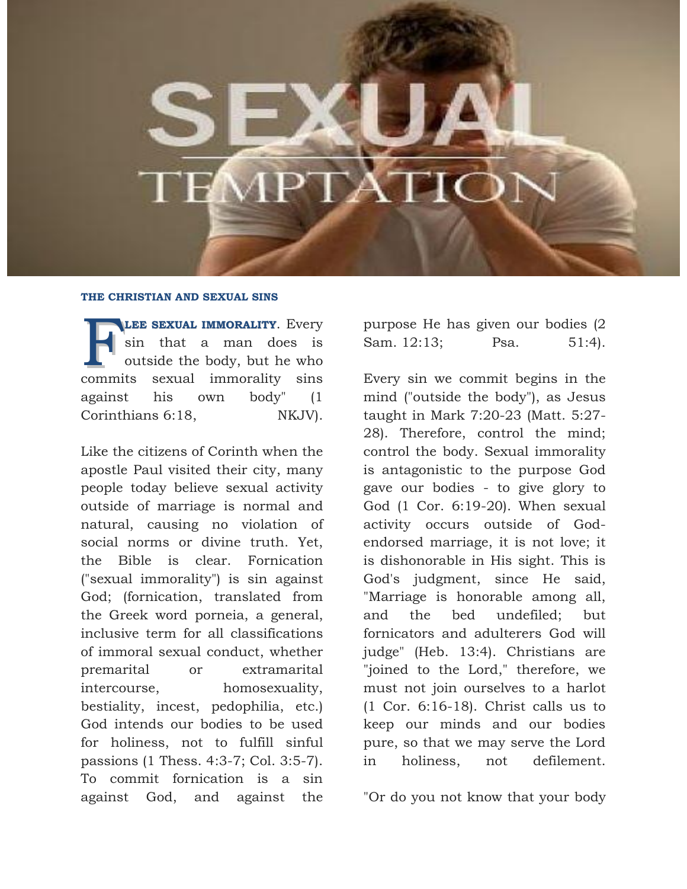## **THE CHRISTIAN AND SEXUAL SINS**

**LEE SEXUAL IMMORALITY**. Every sin that a man does is outside the body, but he who sexual immorality sins against his own body" (1 Corinthians 6:18. NKJV. commits

Like the citizens of Corinth when the apostle Paul visited their city, many people today believe sexual activity outside of marriage is normal and natural, causing no violation of social norms or divine truth. Yet, the Bible is clear. Fornication ("sexual immorality") is sin against God; (fornication, translated from the Greek word porneia, a general, inclusive term for all classifications of immoral sexual conduct, whether premarital or extramarital intercourse, homosexuality, bestiality, incest, pedophilia, etc.) God intends our bodies to be used for holiness, not to fulfill sinful passions (1 Thess. 4:3-7; Col. 3:5-7). To commit fornication is a sin against God, and against the

purpose He has given our bodies (2 Sam. 12:13; Psa. 51:4).

Every sin we commit begins in the mind ("outside the body"), as Jesus taught in Mark 7:20-23 (Matt. 5:27- 28). Therefore, control the mind; control the body. Sexual immorality is antagonistic to the purpose God gave our bodies - to give glory to God (1 Cor. 6:19-20). When sexual activity occurs outside of Godendorsed marriage, it is not love; it is dishonorable in His sight. This is God's judgment, since He said, "Marriage is honorable among all, and the bed undefiled; but fornicators and adulterers God will judge" (Heb. 13:4). Christians are "joined to the Lord," therefore, we must not join ourselves to a harlot (1 Cor. 6:16-18). Christ calls us to keep our minds and our bodies pure, so that we may serve the Lord in holiness, not defilement.

"Or do you not know that your body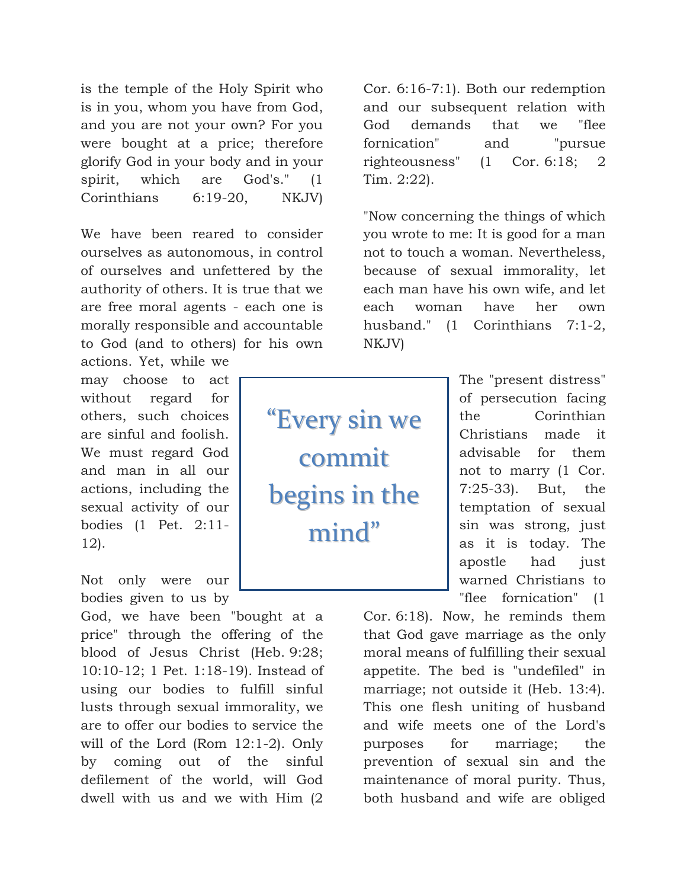is the temple of the Holy Spirit who is in you, whom you have from God, and you are not your own? For you were bought at a price; therefore glorify God in your body and in your spirit, which are God's." (1 Corinthians 6:19-20, NKJV)

We have been reared to consider ourselves as autonomous, in control of ourselves and unfettered by the authority of others. It is true that we are free moral agents - each one is morally responsible and accountable to God (and to others) for his own actions. Yet, while we

may choose to act without regard for others, such choices are sinful and foolish. We must regard God and man in all our actions, including the sexual activity of our bodies (1 Pet. 2:11- 12).

Not only were our bodies given to us by

God, we have been "bought at a price" through the offering of the blood of Jesus Christ (Heb. 9:28; 10:10-12; 1 Pet. 1:18-19). Instead of using our bodies to fulfill sinful lusts through sexual immorality, we are to offer our bodies to service the will of the Lord (Rom 12:1-2). Only by coming out of the sinful defilement of the world, will God dwell with us and we with Him (2

Cor. 6:16-7:1). Both our redemption and our subsequent relation with God demands that we "flee fornication" and "pursue righteousness" (1 Cor. 6:18; 2 Tim. 2:22).

"Now concerning the things of which you wrote to me: It is good for a man not to touch a woman. Nevertheless, because of sexual immorality, let each man have his own wife, and let each woman have her own husband." (1 Corinthians 7:1-2, NKJV)

"Every sin we commit begins in the mind"

The "present distress" of persecution facing the Corinthian Christians made it advisable for them not to marry (1 Cor. 7:25-33). But, the temptation of sexual sin was strong, just as it is today. The apostle had just warned Christians to "flee fornication" (1

Cor. 6:18). Now, he reminds them that God gave marriage as the only moral means of fulfilling their sexual appetite. The bed is "undefiled" in marriage; not outside it (Heb. 13:4). This one flesh uniting of husband and wife meets one of the Lord's purposes for marriage; the prevention of sexual sin and the maintenance of moral purity. Thus, both husband and wife are obliged